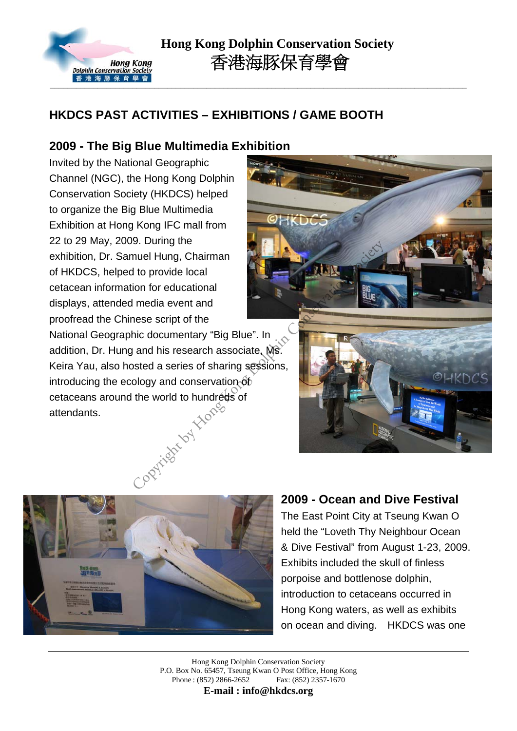

### **HKDCS PAST ACTIVITIES – EXHIBITIONS / GAME BOOTH**

#### **2009 - The Big Blue Multimedia Exhibition**

Invited by the National Geographic Channel (NGC), the Hong Kong Dolphin Conservation Society (HKDCS) helped to organize the Big Blue Multimedia Exhibition at Hong Kong IFC mall from 22 to 29 May, 2009. During the exhibition, Dr. Samuel Hung, Chairman of HKDCS, helped to provide local cetacean information for educational displays, attended media event and proofread the Chinese script of the National Geographic documentary "Big Blue". In

addition, Dr. Hung and his research associate, Ms. Keira Yau, also hosted a series of sharing sessions, introducing the ecology and conservation  $\delta b$ cetaceans around the world to hundreds of attendants. Copyright by Hongo





#### **2009 - Ocean and Dive Festival**

The East Point City at Tseung Kwan O held the "Loveth Thy Neighbour Ocean & Dive Festival" from August 1-23, 2009. Exhibits included the skull of finless porpoise and bottlenose dolphin, introduction to cetaceans occurred in Hong Kong waters, as well as exhibits on ocean and diving. HKDCS was one

Hong Kong Dolphin Conservation Society P.O. Box No. 65457, Tseung Kwan O Post Office, Hong Kong Phone : (852) 2866-2652 Fax: (852) 2357-1670

**E-mail : info@hkdcs.org**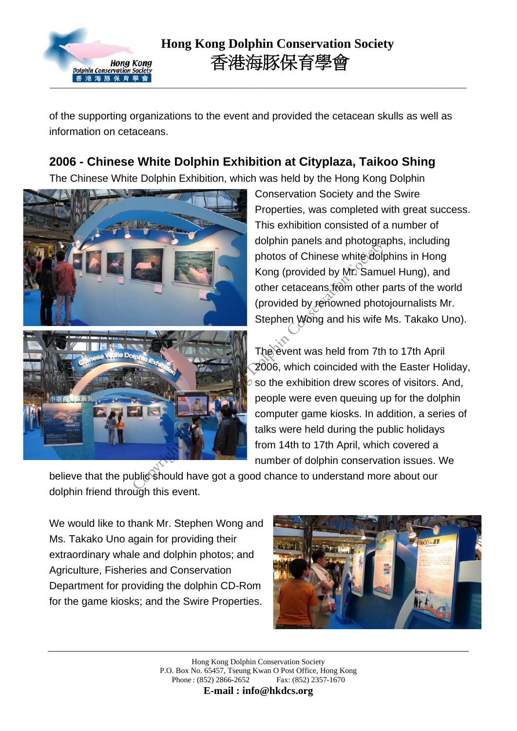

of the supporting organizations to the event and provided the cetacean skulls as well as information on cetaceans.

## **2006 - Chinese White Dolphin Exhibition at Cityplaza, Taikoo Shing**

The Chinese White Dolphin Exhibition, which was held by the Hong Kong Dolphin



Conservation Society and the Swire Properties, was completed with great success. This exhibition consisted of a number of dolphin panels and photographs, including photos of Chinese white dolphins in Hong Kong (provided by Mr. Samuel Hung), and other cetaceans from other parts of the world (provided by renowned photojournalists Mr. Stephen Wong and his wife Ms. Takako Uno).

The event was held from 7th to 17th April 2006, which coincided with the Easter Holiday, so the exhibition drew scores of visitors. And, people were even queuing up for the dolphin computer game kiosks. In addition, a series of talks were held during the public holidays from 14th to 17th April, which covered a number of dolphin conservation issues. We

believe that the public should have got a good chance to understand more about our dolphin friend through this event.

We would like to thank Mr. Stephen Wong and Ms. Takako Uno again for providing their extraordinary whale and dolphin photos; and Agriculture, Fisheries and Conservation Department for providing the dolphin CD-Rom for the game kiosks; and the Swire Properties.



Hong Kong Dolphin Conservation Society P.O. Box No. 65457, Tseung Kwan O Post Office, Hong Kong Phone : (852) 2866-2652 Fax: (852) 2357-1670

**E-mail : info@hkdcs.org**